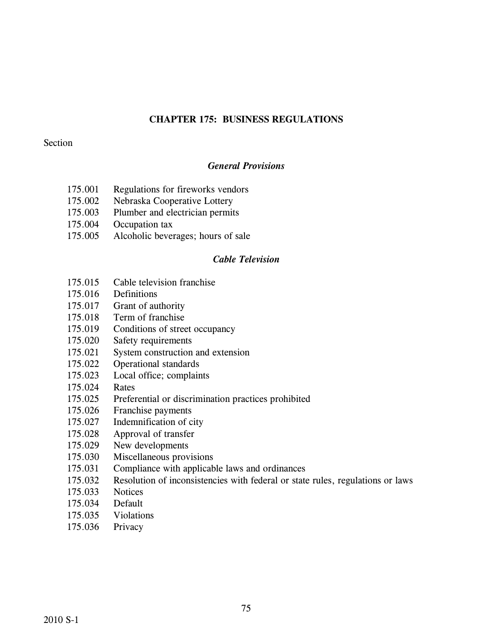# **CHAPTER 175: BUSINESS REGULATIONS**

# Section

# *General Provisions*

- 175.001 Regulations for fireworks vendors
- 175.002 Nebraska Cooperative Lottery
- 175.003 Plumber and electrician permits
- 175.004 Occupation tax
- 175.005 Alcoholic beverages; hours of sale

# *Cable Television*

- 175.015 Cable television franchise
- 175.016 Definitions
- 175.017 Grant of authority
- 175.018 Term of franchise
- 175.019 Conditions of street occupancy
- 175.020 Safety requirements
- 175.021 System construction and extension
- 175.022 Operational standards
- 175.023 Local office; complaints
- 175.024 Rates
- 175.025 Preferential or discrimination practices prohibited
- 175.026 Franchise payments
- 175.027 Indemnification of city
- 175.028 Approval of transfer
- 175.029 New developments
- 175.030 Miscellaneous provisions
- 175.031 Compliance with applicable laws and ordinances
- 175.032 Resolution of inconsistencies with federal or state rules, regulations or laws
- 175.033 Notices
- 175.034 Default
- 175.035 Violations
- 175.036 Privacy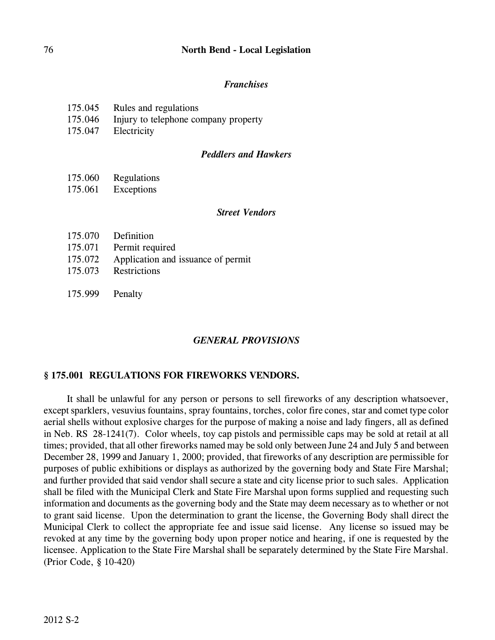# 76 **North Bend - Local Legislation**

## *Franchises*

| 175.045<br>Rules and regulations |
|----------------------------------|
|----------------------------------|

- 175.046 Injury to telephone company property
- 175.047 Electricity

#### *Peddlers and Hawkers*

- 175.060 Regulations
- 175.061 Exceptions

#### *Street Vendors*

- 175.070 Definition
- 175.071 Permit required
- 175.072 Application and issuance of permit
- 175.073 Restrictions
- 175.999 Penalty

### *GENERAL PROVISIONS*

### **§ 175.001 REGULATIONS FOR FIREWORKS VENDORS.**

It shall be unlawful for any person or persons to sell fireworks of any description whatsoever, except sparklers, vesuvius fountains, spray fountains, torches, color fire cones, star and comet type color aerial shells without explosive charges for the purpose of making a noise and lady fingers, all as defined in Neb. RS 28-1241(7). Color wheels, toy cap pistols and permissible caps may be sold at retail at all times; provided, that all other fireworks named may be sold only between June 24 and July 5 and between December 28, 1999 and January 1, 2000; provided, that fireworks of any description are permissible for purposes of public exhibitions or displays as authorized by the governing body and State Fire Marshal; and further provided that said vendor shall secure a state and city license prior to such sales. Application shall be filed with the Municipal Clerk and State Fire Marshal upon forms supplied and requesting such information and documents as the governing body and the State may deem necessary as to whether or not to grant said license. Upon the determination to grant the license, the Governing Body shall direct the Municipal Clerk to collect the appropriate fee and issue said license. Any license so issued may be revoked at any time by the governing body upon proper notice and hearing, if one is requested by the licensee. Application to the State Fire Marshal shall be separately determined by the State Fire Marshal. (Prior Code, § 10-420)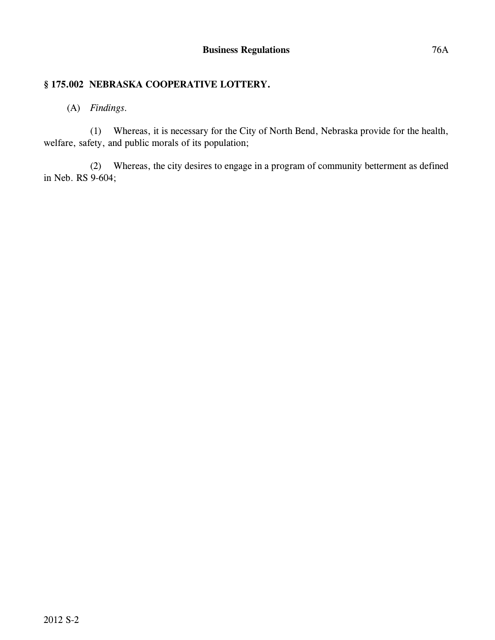# **§ 175.002 NEBRASKA COOPERATIVE LOTTERY.**

# (A) *Findings.*

(1) Whereas, it is necessary for the City of North Bend, Nebraska provide for the health, welfare, safety, and public morals of its population;

(2) Whereas, the city desires to engage in a program of community betterment as defined in Neb. RS 9-604;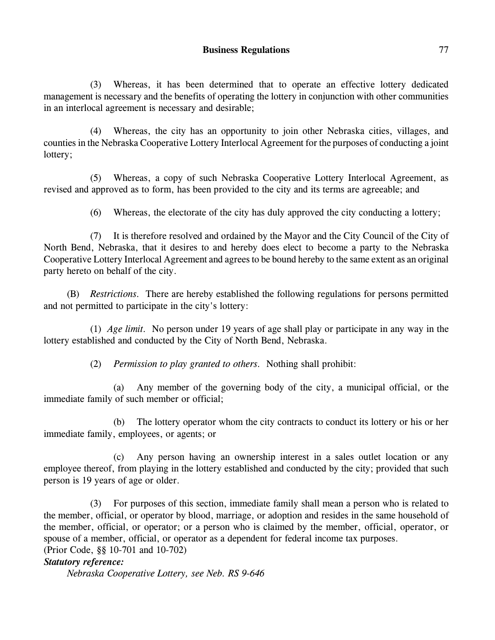(3) Whereas, it has been determined that to operate an effective lottery dedicated management is necessary and the benefits of operating the lottery in conjunction with other communities in an interlocal agreement is necessary and desirable;

(4) Whereas, the city has an opportunity to join other Nebraska cities, villages, and counties in the Nebraska Cooperative Lottery Interlocal Agreement for the purposes of conducting a joint lottery;

(5) Whereas, a copy of such Nebraska Cooperative Lottery Interlocal Agreement, as revised and approved as to form, has been provided to the city and its terms are agreeable; and

(6) Whereas, the electorate of the city has duly approved the city conducting a lottery;

(7) It is therefore resolved and ordained by the Mayor and the City Council of the City of North Bend, Nebraska, that it desires to and hereby does elect to become a party to the Nebraska Cooperative Lottery Interlocal Agreement and agrees to be bound hereby to the same extent as an original party hereto on behalf of the city.

(B) *Restrictions.* There are hereby established the following regulations for persons permitted and not permitted to participate in the city's lottery:

(1) *Age limit.* No person under 19 years of age shall play or participate in any way in the lottery established and conducted by the City of North Bend, Nebraska.

(2) *Permission to play granted to others.* Nothing shall prohibit:

(a) Any member of the governing body of the city, a municipal official, or the immediate family of such member or official;

(b) The lottery operator whom the city contracts to conduct its lottery or his or her immediate family, employees, or agents; or

(c) Any person having an ownership interest in a sales outlet location or any employee thereof, from playing in the lottery established and conducted by the city; provided that such person is 19 years of age or older.

(3) For purposes of this section, immediate family shall mean a person who is related to the member, official, or operator by blood, marriage, or adoption and resides in the same household of the member, official, or operator; or a person who is claimed by the member, official, operator, or spouse of a member, official, or operator as a dependent for federal income tax purposes. (Prior Code, §§ 10-701 and 10-702)

# *Statutory reference:*

*Nebraska Cooperative Lottery, see Neb. RS 9-646*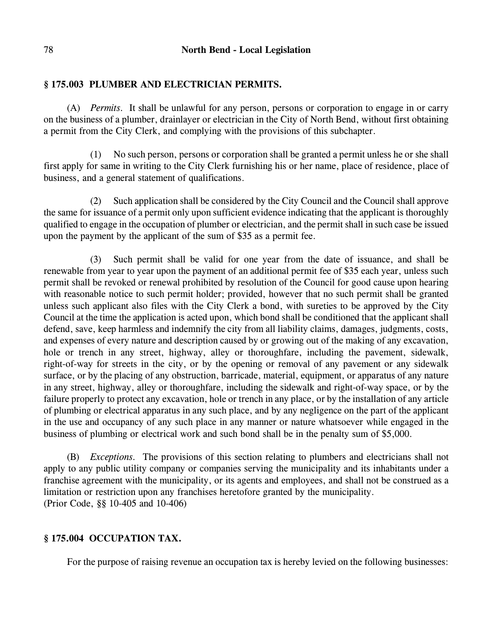# **§ 175.003 PLUMBER AND ELECTRICIAN PERMITS.**

(A) *Permits.* It shall be unlawful for any person, persons or corporation to engage in or carry on the business of a plumber, drainlayer or electrician in the City of North Bend, without first obtaining a permit from the City Clerk, and complying with the provisions of this subchapter.

(1) No such person, persons or corporation shall be granted a permit unless he or she shall first apply for same in writing to the City Clerk furnishing his or her name, place of residence, place of business, and a general statement of qualifications.

(2) Such application shall be considered by the City Council and the Council shall approve the same for issuance of a permit only upon sufficient evidence indicating that the applicant is thoroughly qualified to engage in the occupation of plumber or electrician, and the permit shall in such case be issued upon the payment by the applicant of the sum of \$35 as a permit fee.

(3) Such permit shall be valid for one year from the date of issuance, and shall be renewable from year to year upon the payment of an additional permit fee of \$35 each year, unless such permit shall be revoked or renewal prohibited by resolution of the Council for good cause upon hearing with reasonable notice to such permit holder; provided, however that no such permit shall be granted unless such applicant also files with the City Clerk a bond, with sureties to be approved by the City Council at the time the application is acted upon, which bond shall be conditioned that the applicant shall defend, save, keep harmless and indemnify the city from all liability claims, damages, judgments, costs, and expenses of every nature and description caused by or growing out of the making of any excavation, hole or trench in any street, highway, alley or thoroughfare, including the pavement, sidewalk, right-of-way for streets in the city, or by the opening or removal of any pavement or any sidewalk surface, or by the placing of any obstruction, barricade, material, equipment, or apparatus of any nature in any street, highway, alley or thoroughfare, including the sidewalk and right-of-way space, or by the failure properly to protect any excavation, hole or trench in any place, or by the installation of any article of plumbing or electrical apparatus in any such place, and by any negligence on the part of the applicant in the use and occupancy of any such place in any manner or nature whatsoever while engaged in the business of plumbing or electrical work and such bond shall be in the penalty sum of \$5,000.

(B) *Exceptions.* The provisions of this section relating to plumbers and electricians shall not apply to any public utility company or companies serving the municipality and its inhabitants under a franchise agreement with the municipality, or its agents and employees, and shall not be construed as a limitation or restriction upon any franchises heretofore granted by the municipality. (Prior Code, §§ 10-405 and 10-406)

# **§ 175.004 OCCUPATION TAX.**

For the purpose of raising revenue an occupation tax is hereby levied on the following businesses: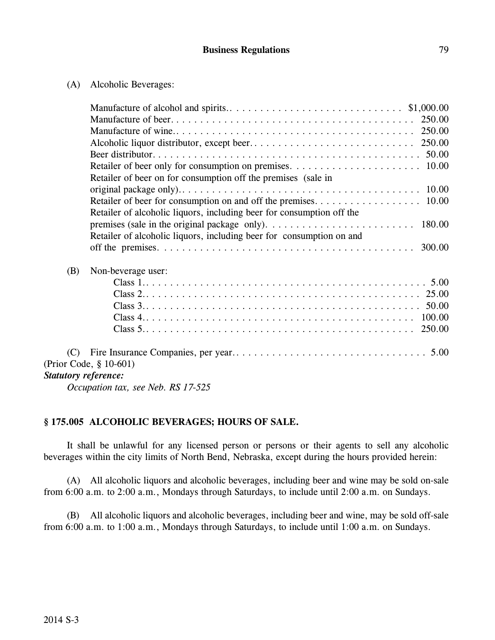| (A) | Alcoholic Beverages: |
|-----|----------------------|
|     |                      |

|                             | Retailer of beer on for consumption off the premises (sale in         |
|-----------------------------|-----------------------------------------------------------------------|
|                             |                                                                       |
|                             |                                                                       |
|                             | Retailer of alcoholic liquors, including beer for consumption off the |
|                             |                                                                       |
|                             | Retailer of alcoholic liquors, including beer for consumption on and  |
|                             |                                                                       |
| (B)                         | Non-beverage user:                                                    |
|                             |                                                                       |
|                             |                                                                       |
|                             |                                                                       |
|                             |                                                                       |
|                             |                                                                       |
| (C)                         |                                                                       |
|                             | (Prior Code, § 10-601)                                                |
| <b>Statutory reference:</b> |                                                                       |
|                             |                                                                       |

*Occupation tax, see Neb. RS 17-525*

# **§ 175.005 ALCOHOLIC BEVERAGES; HOURS OF SALE.**

It shall be unlawful for any licensed person or persons or their agents to sell any alcoholic beverages within the city limits of North Bend, Nebraska, except during the hours provided herein:

(A) All alcoholic liquors and alcoholic beverages, including beer and wine may be sold on-sale from 6:00 a.m. to 2:00 a.m., Mondays through Saturdays, to include until 2:00 a.m. on Sundays.

(B) All alcoholic liquors and alcoholic beverages, including beer and wine, may be sold off-sale from 6:00 a.m. to 1:00 a.m., Mondays through Saturdays, to include until 1:00 a.m. on Sundays.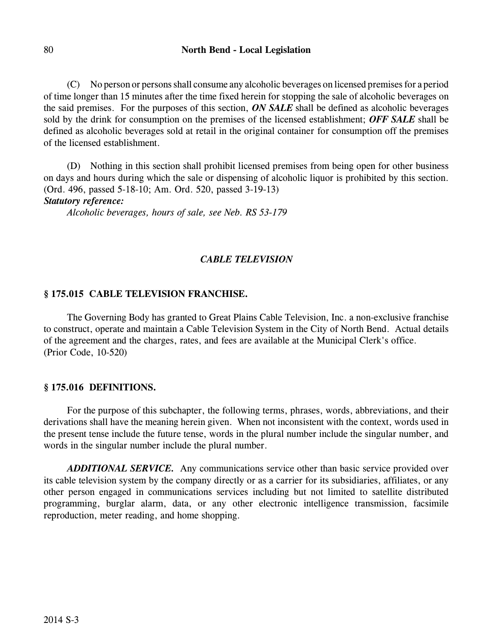(C) No person or persons shall consume any alcoholic beverages on licensed premises for a period of time longer than 15 minutes after the time fixed herein for stopping the sale of alcoholic beverages on the said premises. For the purposes of this section, *ON SALE* shall be defined as alcoholic beverages sold by the drink for consumption on the premises of the licensed establishment; *OFF SALE* shall be defined as alcoholic beverages sold at retail in the original container for consumption off the premises of the licensed establishment.

(D) Nothing in this section shall prohibit licensed premises from being open for other business on days and hours during which the sale or dispensing of alcoholic liquor is prohibited by this section. (Ord. 496, passed 5-18-10; Am. Ord. 520, passed 3-19-13)

# *Statutory reference:*

*Alcoholic beverages, hours of sale, see Neb. RS 53-179*

# *CABLE TELEVISION*

# **§ 175.015 CABLE TELEVISION FRANCHISE.**

The Governing Body has granted to Great Plains Cable Television, Inc. a non-exclusive franchise to construct, operate and maintain a Cable Television System in the City of North Bend. Actual details of the agreement and the charges, rates, and fees are available at the Municipal Clerk's office. (Prior Code, 10-520)

### **§ 175.016 DEFINITIONS.**

For the purpose of this subchapter, the following terms, phrases, words, abbreviations, and their derivations shall have the meaning herein given. When not inconsistent with the context, words used in the present tense include the future tense, words in the plural number include the singular number, and words in the singular number include the plural number.

*ADDITIONAL SERVICE.* Any communications service other than basic service provided over its cable television system by the company directly or as a carrier for its subsidiaries, affiliates, or any other person engaged in communications services including but not limited to satellite distributed programming, burglar alarm, data, or any other electronic intelligence transmission, facsimile reproduction, meter reading, and home shopping.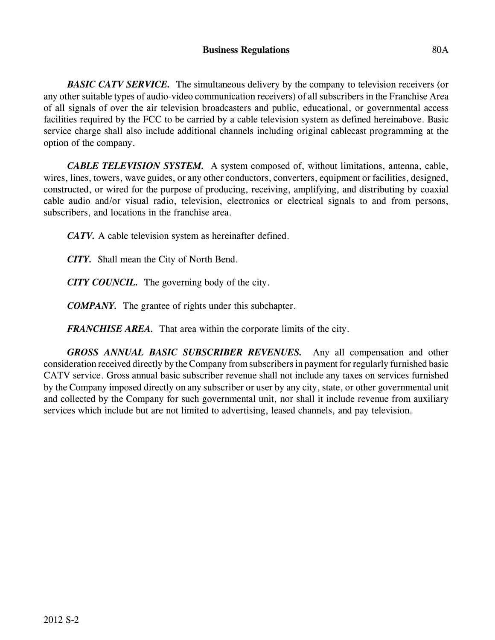**BASIC CATV SERVICE.** The simultaneous delivery by the company to television receivers (or any other suitable types of audio-video communication receivers) of all subscribers in the Franchise Area of all signals of over the air television broadcasters and public, educational, or governmental access facilities required by the FCC to be carried by a cable television system as defined hereinabove. Basic service charge shall also include additional channels including original cablecast programming at the option of the company.

*CABLE TELEVISION SYSTEM.* A system composed of, without limitations, antenna, cable, wires, lines, towers, wave guides, or any other conductors, converters, equipment or facilities, designed, constructed, or wired for the purpose of producing, receiving, amplifying, and distributing by coaxial cable audio and/or visual radio, television, electronics or electrical signals to and from persons, subscribers, and locations in the franchise area.

*CATV.* A cable television system as hereinafter defined.

*CITY.* Shall mean the City of North Bend.

*CITY COUNCIL.* The governing body of the city.

*COMPANY.* The grantee of rights under this subchapter.

*FRANCHISE AREA.* That area within the corporate limits of the city.

*GROSS ANNUAL BASIC SUBSCRIBER REVENUES.* Any all compensation and other consideration received directly by the Company from subscribers in payment for regularly furnished basic CATV service. Gross annual basic subscriber revenue shall not include any taxes on services furnished by the Company imposed directly on any subscriber or user by any city, state, or other governmental unit and collected by the Company for such governmental unit, nor shall it include revenue from auxiliary services which include but are not limited to advertising, leased channels, and pay television.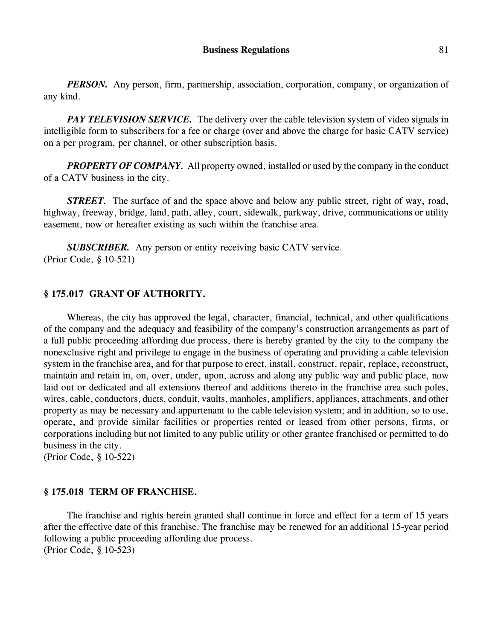*PERSON.* Any person, firm, partnership, association, corporation, company, or organization of any kind.

*PAY TELEVISION SERVICE*. The delivery over the cable television system of video signals in intelligible form to subscribers for a fee or charge (over and above the charge for basic CATV service) on a per program, per channel, or other subscription basis.

**PROPERTY OF COMPANY.** All property owned, installed or used by the company in the conduct of a CATV business in the city.

*STREET.* The surface of and the space above and below any public street, right of way, road, highway, freeway, bridge, land, path, alley, court, sidewalk, parkway, drive, communications or utility easement, now or hereafter existing as such within the franchise area.

*SUBSCRIBER.* Any person or entity receiving basic CATV service. (Prior Code, § 10-521)

# **§ 175.017 GRANT OF AUTHORITY.**

Whereas, the city has approved the legal, character, financial, technical, and other qualifications of the company and the adequacy and feasibility of the company's construction arrangements as part of a full public proceeding affording due process, there is hereby granted by the city to the company the nonexclusive right and privilege to engage in the business of operating and providing a cable television system in the franchise area, and for that purpose to erect, install, construct, repair, replace, reconstruct, maintain and retain in, on, over, under, upon, across and along any public way and public place, now laid out or dedicated and all extensions thereof and additions thereto in the franchise area such poles, wires, cable, conductors, ducts, conduit, vaults, manholes, amplifiers, appliances, attachments, and other property as may be necessary and appurtenant to the cable television system; and in addition, so to use, operate, and provide similar facilities or properties rented or leased from other persons, firms, or corporations including but not limited to any public utility or other grantee franchised or permitted to do business in the city.

(Prior Code, § 10-522)

### **§ 175.018 TERM OF FRANCHISE.**

The franchise and rights herein granted shall continue in force and effect for a term of 15 years after the effective date of this franchise. The franchise may be renewed for an additional 15-year period following a public proceeding affording due process. (Prior Code, § 10-523)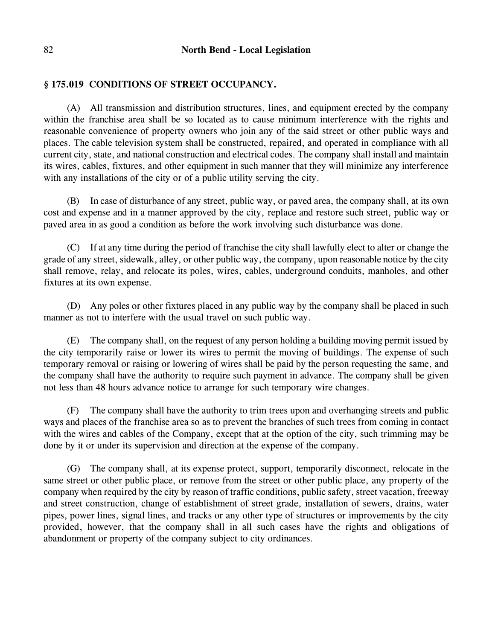# **§ 175.019 CONDITIONS OF STREET OCCUPANCY.**

(A) All transmission and distribution structures, lines, and equipment erected by the company within the franchise area shall be so located as to cause minimum interference with the rights and reasonable convenience of property owners who join any of the said street or other public ways and places. The cable television system shall be constructed, repaired, and operated in compliance with all current city, state, and national construction and electrical codes. The company shall install and maintain its wires, cables, fixtures, and other equipment in such manner that they will minimize any interference with any installations of the city or of a public utility serving the city.

(B) In case of disturbance of any street, public way, or paved area, the company shall, at its own cost and expense and in a manner approved by the city, replace and restore such street, public way or paved area in as good a condition as before the work involving such disturbance was done.

(C) If at any time during the period of franchise the city shall lawfully elect to alter or change the grade of any street, sidewalk, alley, or other public way, the company, upon reasonable notice by the city shall remove, relay, and relocate its poles, wires, cables, underground conduits, manholes, and other fixtures at its own expense.

(D) Any poles or other fixtures placed in any public way by the company shall be placed in such manner as not to interfere with the usual travel on such public way.

(E) The company shall, on the request of any person holding a building moving permit issued by the city temporarily raise or lower its wires to permit the moving of buildings. The expense of such temporary removal or raising or lowering of wires shall be paid by the person requesting the same, and the company shall have the authority to require such payment in advance. The company shall be given not less than 48 hours advance notice to arrange for such temporary wire changes.

(F) The company shall have the authority to trim trees upon and overhanging streets and public ways and places of the franchise area so as to prevent the branches of such trees from coming in contact with the wires and cables of the Company, except that at the option of the city, such trimming may be done by it or under its supervision and direction at the expense of the company.

(G) The company shall, at its expense protect, support, temporarily disconnect, relocate in the same street or other public place, or remove from the street or other public place, any property of the company when required by the city by reason of traffic conditions, public safety, street vacation, freeway and street construction, change of establishment of street grade, installation of sewers, drains, water pipes, power lines, signal lines, and tracks or any other type of structures or improvements by the city provided, however, that the company shall in all such cases have the rights and obligations of abandonment or property of the company subject to city ordinances.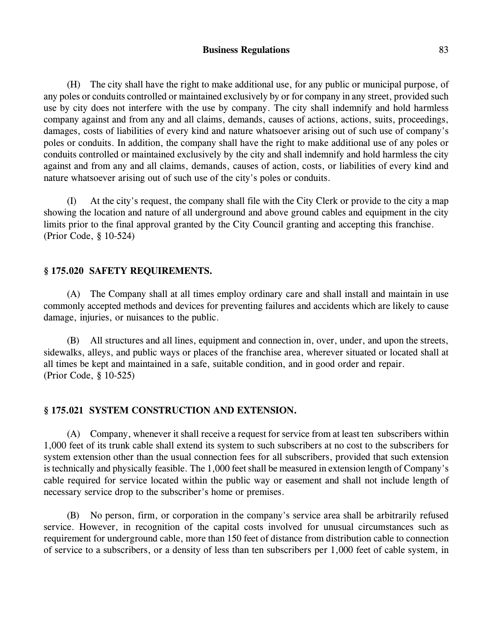### **Business Regulations** 83

(H) The city shall have the right to make additional use, for any public or municipal purpose, of any poles or conduits controlled or maintained exclusively by or for company in any street, provided such use by city does not interfere with the use by company. The city shall indemnify and hold harmless company against and from any and all claims, demands, causes of actions, actions, suits, proceedings, damages, costs of liabilities of every kind and nature whatsoever arising out of such use of company's poles or conduits. In addition, the company shall have the right to make additional use of any poles or conduits controlled or maintained exclusively by the city and shall indemnify and hold harmless the city against and from any and all claims, demands, causes of action, costs, or liabilities of every kind and nature whatsoever arising out of such use of the city's poles or conduits.

(I) At the city's request, the company shall file with the City Clerk or provide to the city a map showing the location and nature of all underground and above ground cables and equipment in the city limits prior to the final approval granted by the City Council granting and accepting this franchise. (Prior Code, § 10-524)

## **§ 175.020 SAFETY REQUIREMENTS.**

(A) The Company shall at all times employ ordinary care and shall install and maintain in use commonly accepted methods and devices for preventing failures and accidents which are likely to cause damage, injuries, or nuisances to the public.

(B) All structures and all lines, equipment and connection in, over, under, and upon the streets, sidewalks, alleys, and public ways or places of the franchise area, wherever situated or located shall at all times be kept and maintained in a safe, suitable condition, and in good order and repair. (Prior Code, § 10-525)

# **§ 175.021 SYSTEM CONSTRUCTION AND EXTENSION.**

(A) Company, whenever it shall receive a request for service from at least ten subscribers within 1,000 feet of its trunk cable shall extend its system to such subscribers at no cost to the subscribers for system extension other than the usual connection fees for all subscribers, provided that such extension is technically and physically feasible. The 1,000 feet shall be measured in extension length of Company's cable required for service located within the public way or easement and shall not include length of necessary service drop to the subscriber's home or premises.

(B) No person, firm, or corporation in the company's service area shall be arbitrarily refused service. However, in recognition of the capital costs involved for unusual circumstances such as requirement for underground cable, more than 150 feet of distance from distribution cable to connection of service to a subscribers, or a density of less than ten subscribers per 1,000 feet of cable system, in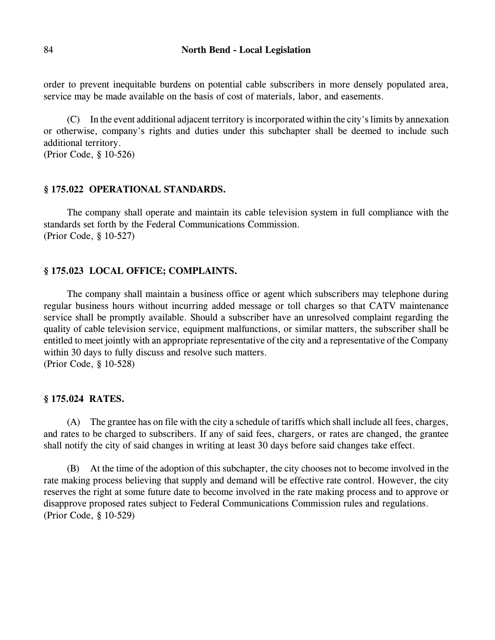order to prevent inequitable burdens on potential cable subscribers in more densely populated area, service may be made available on the basis of cost of materials, labor, and easements.

(C) In the event additional adjacent territory is incorporated within the city's limits by annexation or otherwise, company's rights and duties under this subchapter shall be deemed to include such additional territory.

(Prior Code, § 10-526)

### **§ 175.022 OPERATIONAL STANDARDS.**

The company shall operate and maintain its cable television system in full compliance with the standards set forth by the Federal Communications Commission. (Prior Code, § 10-527)

### **§ 175.023 LOCAL OFFICE; COMPLAINTS.**

The company shall maintain a business office or agent which subscribers may telephone during regular business hours without incurring added message or toll charges so that CATV maintenance service shall be promptly available. Should a subscriber have an unresolved complaint regarding the quality of cable television service, equipment malfunctions, or similar matters, the subscriber shall be entitled to meet jointly with an appropriate representative of the city and a representative of the Company within 30 days to fully discuss and resolve such matters. (Prior Code, § 10-528)

### **§ 175.024 RATES.**

(A) The grantee has on file with the city a schedule of tariffs which shall include all fees, charges, and rates to be charged to subscribers. If any of said fees, chargers, or rates are changed, the grantee shall notify the city of said changes in writing at least 30 days before said changes take effect.

(B) At the time of the adoption of this subchapter, the city chooses not to become involved in the rate making process believing that supply and demand will be effective rate control. However, the city reserves the right at some future date to become involved in the rate making process and to approve or disapprove proposed rates subject to Federal Communications Commission rules and regulations. (Prior Code, § 10-529)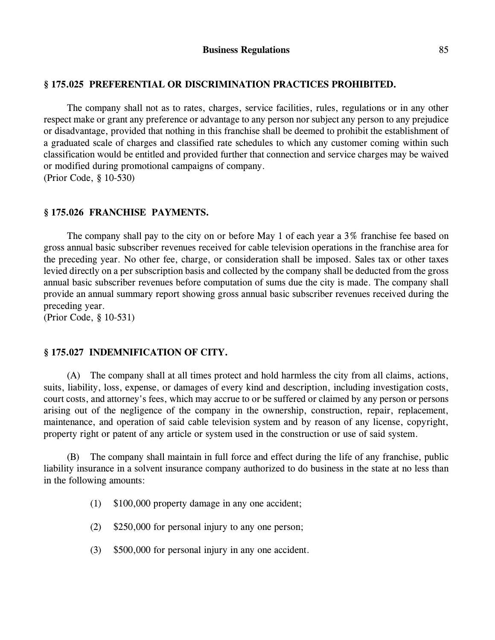# **§ 175.025 PREFERENTIAL OR DISCRIMINATION PRACTICES PROHIBITED.**

The company shall not as to rates, charges, service facilities, rules, regulations or in any other respect make or grant any preference or advantage to any person nor subject any person to any prejudice or disadvantage, provided that nothing in this franchise shall be deemed to prohibit the establishment of a graduated scale of charges and classified rate schedules to which any customer coming within such classification would be entitled and provided further that connection and service charges may be waived or modified during promotional campaigns of company. (Prior Code, § 10-530)

**§ 175.026 FRANCHISE PAYMENTS.**

The company shall pay to the city on or before May 1 of each year a 3% franchise fee based on gross annual basic subscriber revenues received for cable television operations in the franchise area for the preceding year. No other fee, charge, or consideration shall be imposed. Sales tax or other taxes levied directly on a per subscription basis and collected by the company shall be deducted from the gross annual basic subscriber revenues before computation of sums due the city is made. The company shall provide an annual summary report showing gross annual basic subscriber revenues received during the preceding year.

(Prior Code, § 10-531)

### **§ 175.027 INDEMNIFICATION OF CITY.**

(A) The company shall at all times protect and hold harmless the city from all claims, actions, suits, liability, loss, expense, or damages of every kind and description, including investigation costs, court costs, and attorney's fees, which may accrue to or be suffered or claimed by any person or persons arising out of the negligence of the company in the ownership, construction, repair, replacement, maintenance, and operation of said cable television system and by reason of any license, copyright, property right or patent of any article or system used in the construction or use of said system.

(B) The company shall maintain in full force and effect during the life of any franchise, public liability insurance in a solvent insurance company authorized to do business in the state at no less than in the following amounts:

- (1) \$100,000 property damage in any one accident;
- (2) \$250,000 for personal injury to any one person;
- (3) \$500,000 for personal injury in any one accident.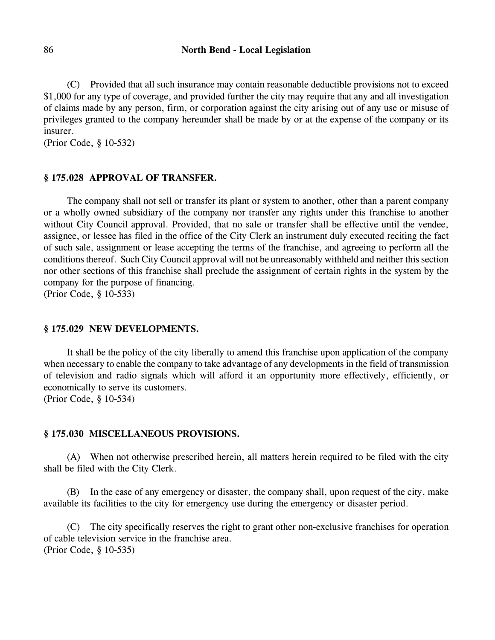(C) Provided that all such insurance may contain reasonable deductible provisions not to exceed \$1,000 for any type of coverage, and provided further the city may require that any and all investigation of claims made by any person, firm, or corporation against the city arising out of any use or misuse of privileges granted to the company hereunder shall be made by or at the expense of the company or its insurer.

(Prior Code, § 10-532)

## **§ 175.028 APPROVAL OF TRANSFER.**

The company shall not sell or transfer its plant or system to another, other than a parent company or a wholly owned subsidiary of the company nor transfer any rights under this franchise to another without City Council approval. Provided, that no sale or transfer shall be effective until the vendee, assignee, or lessee has filed in the office of the City Clerk an instrument duly executed reciting the fact of such sale, assignment or lease accepting the terms of the franchise, and agreeing to perform all the conditions thereof. Such City Council approval will not be unreasonably withheld and neither this section nor other sections of this franchise shall preclude the assignment of certain rights in the system by the company for the purpose of financing.

(Prior Code, § 10-533)

# **§ 175.029 NEW DEVELOPMENTS.**

It shall be the policy of the city liberally to amend this franchise upon application of the company when necessary to enable the company to take advantage of any developments in the field of transmission of television and radio signals which will afford it an opportunity more effectively, efficiently, or economically to serve its customers.

(Prior Code, § 10-534)

#### **§ 175.030 MISCELLANEOUS PROVISIONS.**

(A) When not otherwise prescribed herein, all matters herein required to be filed with the city shall be filed with the City Clerk.

(B) In the case of any emergency or disaster, the company shall, upon request of the city, make available its facilities to the city for emergency use during the emergency or disaster period.

(C) The city specifically reserves the right to grant other non-exclusive franchises for operation of cable television service in the franchise area. (Prior Code, § 10-535)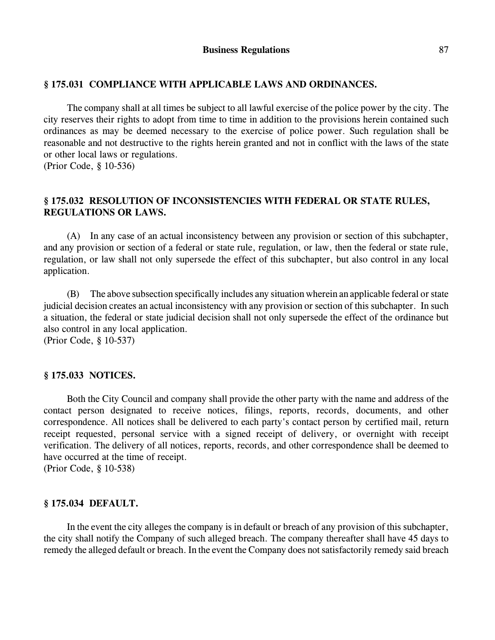## **§ 175.031 COMPLIANCE WITH APPLICABLE LAWS AND ORDINANCES.**

The company shall at all times be subject to all lawful exercise of the police power by the city. The city reserves their rights to adopt from time to time in addition to the provisions herein contained such ordinances as may be deemed necessary to the exercise of police power. Such regulation shall be reasonable and not destructive to the rights herein granted and not in conflict with the laws of the state or other local laws or regulations.

(Prior Code, § 10-536)

# **§ 175.032 RESOLUTION OF INCONSISTENCIES WITH FEDERAL OR STATE RULES, REGULATIONS OR LAWS.**

(A) In any case of an actual inconsistency between any provision or section of this subchapter, and any provision or section of a federal or state rule, regulation, or law, then the federal or state rule, regulation, or law shall not only supersede the effect of this subchapter, but also control in any local application.

(B) The above subsection specifically includes any situation wherein an applicable federal or state judicial decision creates an actual inconsistency with any provision or section of this subchapter. In such a situation, the federal or state judicial decision shall not only supersede the effect of the ordinance but also control in any local application.

(Prior Code, § 10-537)

## **§ 175.033 NOTICES.**

Both the City Council and company shall provide the other party with the name and address of the contact person designated to receive notices, filings, reports, records, documents, and other correspondence. All notices shall be delivered to each party's contact person by certified mail, return receipt requested, personal service with a signed receipt of delivery, or overnight with receipt verification. The delivery of all notices, reports, records, and other correspondence shall be deemed to have occurred at the time of receipt.

(Prior Code, § 10-538)

### **§ 175.034 DEFAULT.**

In the event the city alleges the company is in default or breach of any provision of this subchapter, the city shall notify the Company of such alleged breach. The company thereafter shall have 45 days to remedy the alleged default or breach. In the event the Company does notsatisfactorily remedy said breach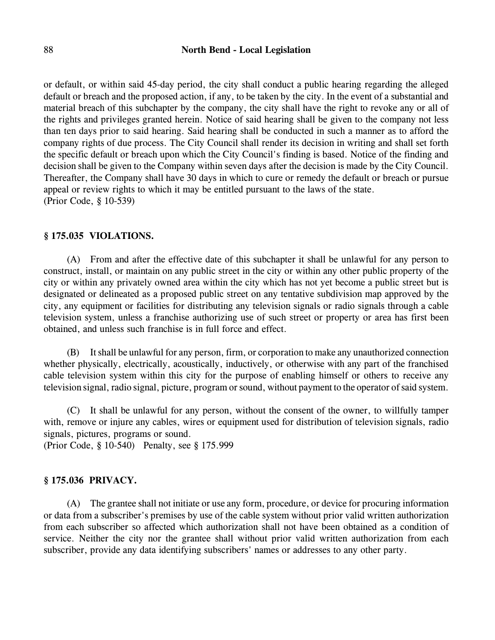## 88 **North Bend - Local Legislation**

or default, or within said 45-day period, the city shall conduct a public hearing regarding the alleged default or breach and the proposed action, if any, to be taken by the city. In the event of a substantial and material breach of this subchapter by the company, the city shall have the right to revoke any or all of the rights and privileges granted herein. Notice of said hearing shall be given to the company not less than ten days prior to said hearing. Said hearing shall be conducted in such a manner as to afford the company rights of due process. The City Council shall render its decision in writing and shall set forth the specific default or breach upon which the City Council's finding is based. Notice of the finding and decision shall be given to the Company within seven days after the decision is made by the City Council. Thereafter, the Company shall have 30 days in which to cure or remedy the default or breach or pursue appeal or review rights to which it may be entitled pursuant to the laws of the state. (Prior Code, § 10-539)

### **§ 175.035 VIOLATIONS.**

(A) From and after the effective date of this subchapter it shall be unlawful for any person to construct, install, or maintain on any public street in the city or within any other public property of the city or within any privately owned area within the city which has not yet become a public street but is designated or delineated as a proposed public street on any tentative subdivision map approved by the city, any equipment or facilities for distributing any television signals or radio signals through a cable television system, unless a franchise authorizing use of such street or property or area has first been obtained, and unless such franchise is in full force and effect.

(B) It shall be unlawful for any person, firm, or corporation to make any unauthorized connection whether physically, electrically, acoustically, inductively, or otherwise with any part of the franchised cable television system within this city for the purpose of enabling himself or others to receive any television signal, radio signal, picture, program or sound, without payment to the operator of said system.

(C) It shall be unlawful for any person, without the consent of the owner, to willfully tamper with, remove or injure any cables, wires or equipment used for distribution of television signals, radio signals, pictures, programs or sound.

(Prior Code, § 10-540) Penalty, see § 175.999

## **§ 175.036 PRIVACY.**

(A) The grantee shall not initiate or use any form, procedure, or device for procuring information or data from a subscriber's premises by use of the cable system without prior valid written authorization from each subscriber so affected which authorization shall not have been obtained as a condition of service. Neither the city nor the grantee shall without prior valid written authorization from each subscriber, provide any data identifying subscribers' names or addresses to any other party.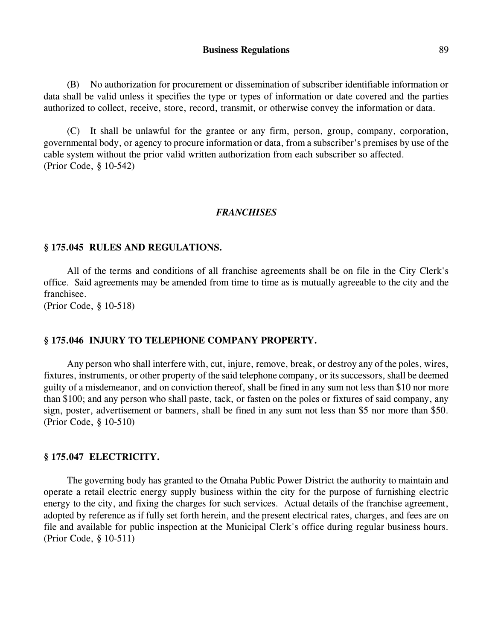(B) No authorization for procurement or dissemination of subscriber identifiable information or data shall be valid unless it specifies the type or types of information or date covered and the parties authorized to collect, receive, store, record, transmit, or otherwise convey the information or data.

(C) It shall be unlawful for the grantee or any firm, person, group, company, corporation, governmental body, or agency to procure information or data, from a subscriber's premises by use of the cable system without the prior valid written authorization from each subscriber so affected. (Prior Code, § 10-542)

#### *FRANCHISES*

#### **§ 175.045 RULES AND REGULATIONS.**

All of the terms and conditions of all franchise agreements shall be on file in the City Clerk's office. Said agreements may be amended from time to time as is mutually agreeable to the city and the franchisee.

(Prior Code, § 10-518)

#### **§ 175.046 INJURY TO TELEPHONE COMPANY PROPERTY.**

Any person who shall interfere with, cut, injure, remove, break, or destroy any of the poles, wires, fixtures, instruments, or other property of the said telephone company, or its successors, shall be deemed guilty of a misdemeanor, and on conviction thereof, shall be fined in any sum not less than \$10 nor more than \$100; and any person who shall paste, tack, or fasten on the poles or fixtures of said company, any sign, poster, advertisement or banners, shall be fined in any sum not less than \$5 nor more than \$50. (Prior Code, § 10-510)

#### **§ 175.047 ELECTRICITY.**

The governing body has granted to the Omaha Public Power District the authority to maintain and operate a retail electric energy supply business within the city for the purpose of furnishing electric energy to the city, and fixing the charges for such services. Actual details of the franchise agreement, adopted by reference as if fully set forth herein, and the present electrical rates, charges, and fees are on file and available for public inspection at the Municipal Clerk's office during regular business hours. (Prior Code, § 10-511)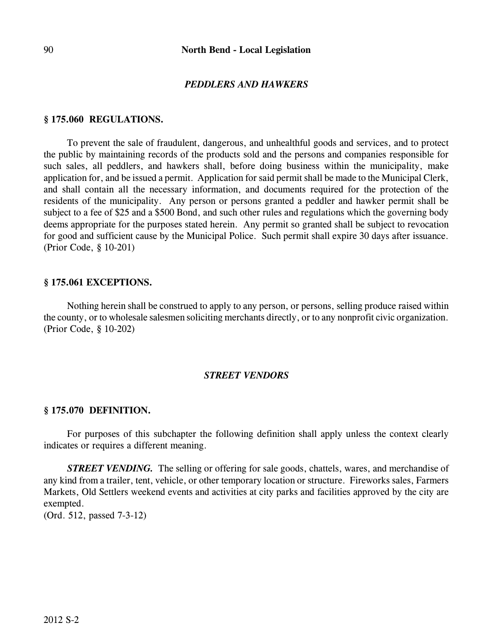### *PEDDLERS AND HAWKERS*

#### **§ 175.060 REGULATIONS.**

To prevent the sale of fraudulent, dangerous, and unhealthful goods and services, and to protect the public by maintaining records of the products sold and the persons and companies responsible for such sales, all peddlers, and hawkers shall, before doing business within the municipality, make application for, and be issued a permit. Application for said permit shall be made to the Municipal Clerk, and shall contain all the necessary information, and documents required for the protection of the residents of the municipality. Any person or persons granted a peddler and hawker permit shall be subject to a fee of \$25 and a \$500 Bond, and such other rules and regulations which the governing body deems appropriate for the purposes stated herein. Any permit so granted shall be subject to revocation for good and sufficient cause by the Municipal Police. Such permit shall expire 30 days after issuance. (Prior Code, § 10-201)

#### **§ 175.061 EXCEPTIONS.**

Nothing herein shall be construed to apply to any person, or persons, selling produce raised within the county, or to wholesale salesmen soliciting merchants directly, or to any nonprofit civic organization. (Prior Code, § 10-202)

#### *STREET VENDORS*

#### **§ 175.070 DEFINITION.**

For purposes of this subchapter the following definition shall apply unless the context clearly indicates or requires a different meaning.

*STREET VENDING.* The selling or offering for sale goods, chattels, wares, and merchandise of any kind from a trailer, tent, vehicle, or other temporary location or structure. Fireworks sales, Farmers Markets, Old Settlers weekend events and activities at city parks and facilities approved by the city are exempted.

(Ord. 512, passed 7-3-12)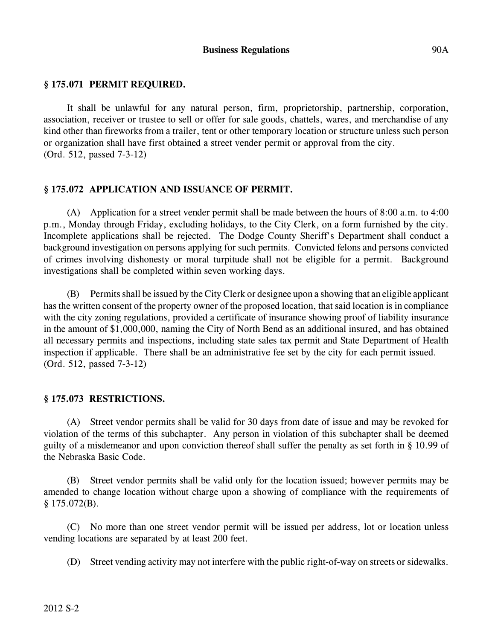## **§ 175.071 PERMIT REQUIRED.**

It shall be unlawful for any natural person, firm, proprietorship, partnership, corporation, association, receiver or trustee to sell or offer for sale goods, chattels, wares, and merchandise of any kind other than fireworks from a trailer, tent or other temporary location or structure unless such person or organization shall have first obtained a street vender permit or approval from the city. (Ord. 512, passed 7-3-12)

### **§ 175.072 APPLICATION AND ISSUANCE OF PERMIT.**

(A) Application for a street vender permit shall be made between the hours of 8:00 a.m. to 4:00 p.m., Monday through Friday, excluding holidays, to the City Clerk, on a form furnished by the city. Incomplete applications shall be rejected. The Dodge County Sheriff's Department shall conduct a background investigation on persons applying for such permits. Convicted felons and persons convicted of crimes involving dishonesty or moral turpitude shall not be eligible for a permit. Background investigations shall be completed within seven working days.

(B) Permits shall be issued by the City Clerk or designee upon a showing that an eligible applicant has the written consent of the property owner of the proposed location, that said location is in compliance with the city zoning regulations, provided a certificate of insurance showing proof of liability insurance in the amount of \$1,000,000, naming the City of North Bend as an additional insured, and has obtained all necessary permits and inspections, including state sales tax permit and State Department of Health inspection if applicable. There shall be an administrative fee set by the city for each permit issued. (Ord. 512, passed 7-3-12)

### **§ 175.073 RESTRICTIONS.**

(A) Street vendor permits shall be valid for 30 days from date of issue and may be revoked for violation of the terms of this subchapter. Any person in violation of this subchapter shall be deemed guilty of a misdemeanor and upon conviction thereof shall suffer the penalty as set forth in § 10.99 of the Nebraska Basic Code.

(B) Street vendor permits shall be valid only for the location issued; however permits may be amended to change location without charge upon a showing of compliance with the requirements of  $§$  175.072(B).

(C) No more than one street vendor permit will be issued per address, lot or location unless vending locations are separated by at least 200 feet.

(D) Street vending activity may not interfere with the public right-of-way on streets or sidewalks.